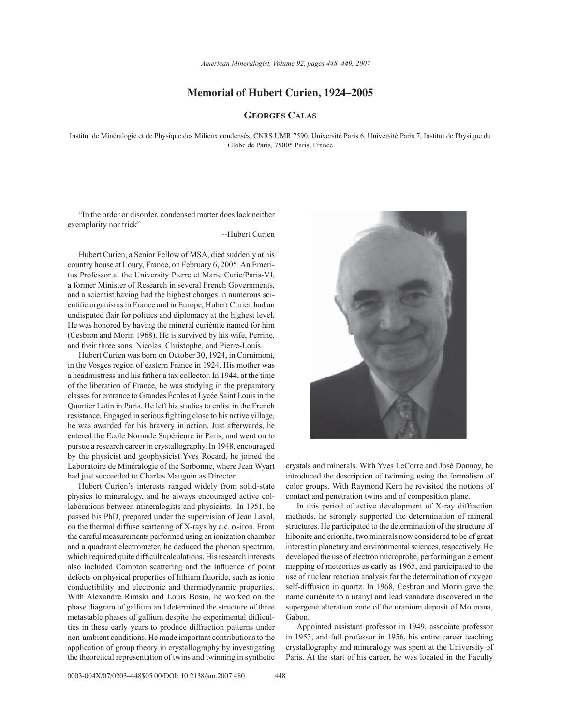*American Mineralogist, Volume 92, pages 448-449, 2007* 

## **Memorial of Hubert Curien, 1924–2005**

**GEORGES CALAS**

Institut de Minéralogie et de Physique des Milieux condensés, CNRS UMR 7590, Université Paris 6, Université Paris 7, Institut de Physique du Globe de Paris, 75005 Paris, France

"In the order or disorder, condensed matter does lack neither exemplarity nor trick"

## --Hubert Curien

Hubert Curien, a Senior Fellow of MSA, died suddenly at his country house at Loury, France, on February 6, 2005. An Emeritus Professor at the University Pierre et Marie Curie/Paris-VI, a former Minister of Research in several French Governments, and a scientist having had the highest charges in numerous scientific organisms in France and in Europe, Hubert Curien had an undisputed flair for politics and diplomacy at the highest level. He was honored by having the mineral curiénite named for him (Cesbron and Morin 1968). He is survived by his wife, Perrine, and their three sons, Nicolas, Christophe, and Pierre-Louis.

Hubert Curien was born on October 30, 1924, in Cornimont, in the Vosges region of eastern France in 1924. His mother was a headmistress and his father a tax collector. In 1944, at the time of the liberation of France, he was studying in the preparatory classes for entrance to Grandes Écoles at Lycée Saint Louis in the Quartier Latin in Paris. He left his studies to enlist in the French resistance. Engaged in serious fighting close to his native village, he was awarded for his bravery in action. Just afterwards, he entered the Ecole Normale Supérieure in Paris, and went on to pursue a research career in crystallography. In 1948, encouraged by the physicist and geophysicist Yves Rocard, he joined the Laboratoire de Minéralogie of the Sorbonne, where Jean Wyart had just succeeded to Charles Mauguin as Director.

Hubert Curien's interests ranged widely from solid-state physics to mineralogy, and he always encouraged active collaborations between mineralogists and physicists. In 1951, he passed his PhD, prepared under the supervision of Jean Laval, on the thermal diffuse scattering of X-rays by c.c.  $\alpha$ -iron. From the careful measurements performed using an ionization chamber and a quadrant electrometer, he deduced the phonon spectrum, which required quite difficult calculations. His research interests also included Compton scattering and the influence of point defects on physical properties of lithium fluoride, such as ionic conductibility and electronic and thermodynamic properties. With Alexandre Rimski and Louis Bosio, he worked on the phase diagram of gallium and determined the structure of three metastable phases of gallium despite the experimental difficulties in these early years to produce diffraction patterns under non-ambient conditions. He made important contributions to the application of group theory in crystallography by investigating the theoretical representation of twins and twinning in synthetic



crystals and minerals. With Yves LeCorre and José Donnay, he introduced the description of twinning using the formalism of color groups. With Raymond Kern he revisited the notions of contact and penetration twins and of composition plane.

In this period of active development of X-ray diffraction methods, he strongly supported the determination of mineral structures. He participated to the determination of the structure of hibonite and erionite, two minerals now considered to be of great interest in planetary and environmental sciences, respectively. He developed the use of electron microprobe, performing an element mapping of meteorites as early as 1965, and participated to the use of nuclear reaction analysis for the determination of oxygen self-diffusion in quartz. In 1968, Cesbron and Morin gave the name curiénite to a uranyl and lead vanadate discovered in the supergene alteration zone of the uranium deposit of Mounana, Gabon.

Appointed assistant professor in 1949, associate professor in 1953, and full professor in 1956, his entire career teaching crystallography and mineralogy was spent at the University of Paris. At the start of his career, he was located in the Faculty

0003-004X/07/0203-448\$05.00/DOI: 10.2138/am.2007.480 448